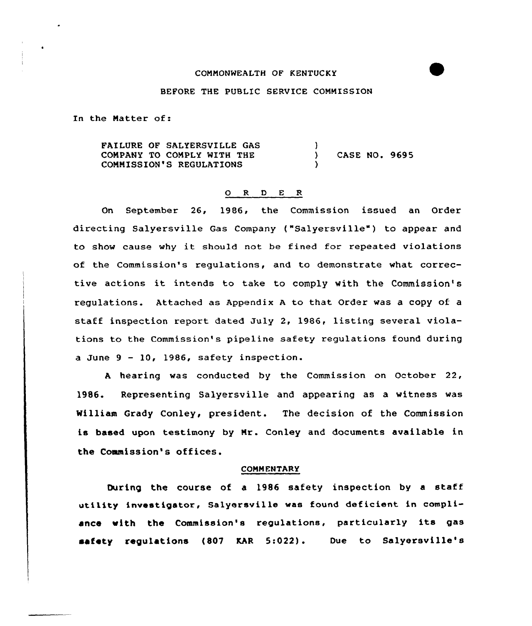# COMMONWEALTH OF KENTUCKY

## BEFORE THE PUBLIC SERVICE COMMISSION

In the Natter of:

FAILURE OF SALYERSVILLE GAS CONPANY TO COMPLY WITH THE COMMISSION'S REGULATIONS )<br>\ ) CASE NO. 9695 )

## 0 R <sup>D</sup> E R

On September 26, 1986, the Commission issued an Order directing Salversville Gas Company ("Salversville") to appear and to show cause why it should not be fined for repeated violations of the Commission's regulations, and to demonstrate what corrective actions it intends to take to comply with the Commission's regulations. Attached as Appendix <sup>A</sup> to that Order was a copy of a staff inspection report dated July 2, 1986, listing several violations to the Commission's pipeline safety regulations found during a June  $9 - 10$ , 1986, safety inspection.

<sup>A</sup> hearing was conducted by the Commission on October 22, 1986. Representing Salyersville and appearing as a witness was William Grady Conley, president. The decision of the Commission is based upon testimony by Nr. Conley and documents available in the Commission's offices.

#### COMMENTARY

During the course of a 1986 safety inspection by <sup>a</sup> staff utility investigator, Sa1yersville was found deficient in compliance with the Commission's regulations, particu1ar1y its gas safety reguLations (807 KAR 5:022). Due to Salyersville's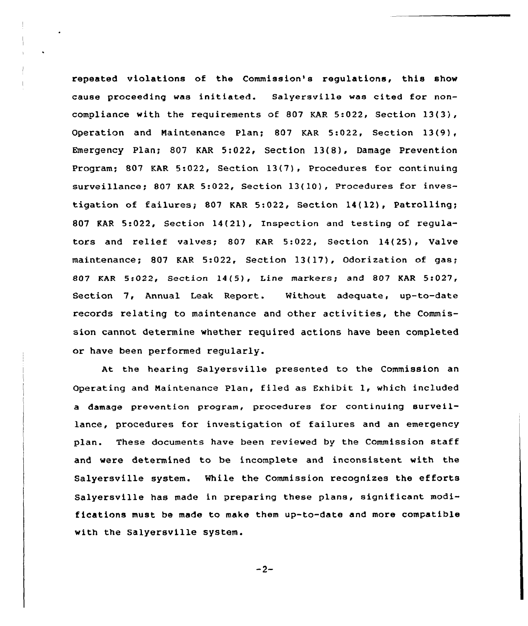repeated violations of the Commission's regulations, this show cause proceeding was initiated. Salyersville was cited for noncompliance with the requirements of 807 KAR 5:022, Section 13(3), Operation and Maintenance Plan; 807 KAR 5:022, Section 13(9), Emergency Plan; 807 KAR 5:022, Section 13(8), Damage Prevention Program; 807 KAR 5:022, Section 13(7), Procedures for continuing surveillance; 807 KAR 5:022, Section 13(10), Procedures for investigation of failures} 807 KAR 5:022, Section 14(12), Patrolling; 807 KAR 5:022, Section 14(21), Inspection and testing of regulators and relief valves; 807 KAR 5:022, Section 14(25), Valve maintenance; 807 KAR 5:022, Section 13(17), Odorization of gas; 807 KAR 5:022, Section 14(5}, Line markers; and 807 KAR 5:027, Section 7, Annual Leak Report. Nithout adequate, up-to-date records relating to maintenance and other activities, the Commission cannot determine whether required actions have been completed or have been performed regularly.

At the hearing Salyersville presented to the Commission an Operating and Naintenance Plan, tiled as Exhibit 1, which included a damage prevention program, procedures for continuing surveillance, procedures for investigation of failures and an emergency plan. These documents have been reviewed by the Commission staff and vere determined to be incomplete and inconsistent with the Salyersville system. While the Commission recognizes the efforts Salyersville has made in preparing these plans, significant modifications must be made to make them up-to-date and more compatible with the Salyersville system.

 $-2-$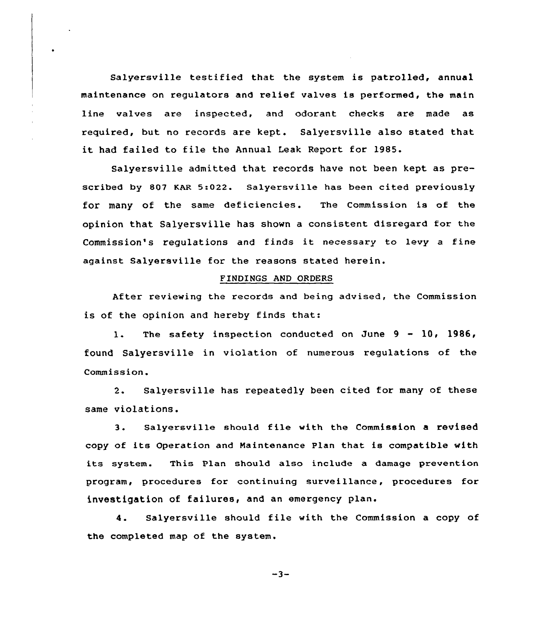Salyersville testified that the system is patrolled, annual maintenance on regulators and relief valves is performed, the main line valves are inspected, and odorant checks are made as required, but no records are kept. Salyersville also stated that it had failed to file the Annual Leak Report for 1985.

Salyersville admitted that records have not been kept as prescribed by 807 KAR 5:022. salyersville has been cited previously for many of the same deficiencies. The commission is of the opinion that Salyersville has shown a consistent disregard for the Commission's regulations and finds it necessary to levy <sup>a</sup> fine against Salyersville for the reasons stated herein.

### FINDINGS AND ORDERS

After reviewing the records and being advised, the Commission is of the opinion and hereby finds that:

1. The safety inspection conducted on June 9 - 10, 1986, found Salyersville in violation of numerous regulations of the Commission.

2. Salyersville has repeatedly been cited for many of these same violations.

3. Salyersville should file with the Commission <sup>a</sup> revised copy of its Operation and Maintenance Plan that is compatible with its system. This Plan should also include a damage prevention program, procedures for continuing surveillance, procedures for investigation of failures, and an emergency plan.

4. Salyersville should file with the Commission <sup>a</sup> copy of the completed map of the system.

 $-3-$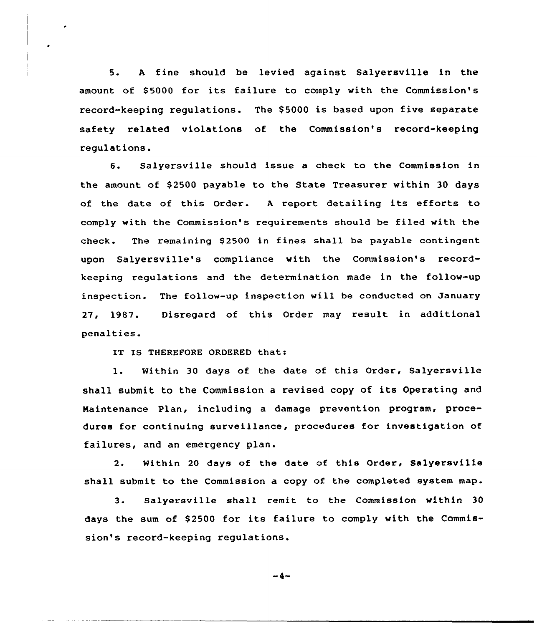5. <sup>A</sup> fine should be levied against Salyersville in the amount of \$ 5000 for its failure to comply with the Commission's record-keeping regulations. The \$ 5000 is based upon five separate safety related violations of the Commission's record-keeping regulations.

6. Salyersville should issue a check to the Commission in the amount of \$2500 payable to the State Treasurer within 30 days of the date of this Order. <sup>A</sup> report detailing its efforts to comply with the Commission's requirements should be filed with the check. The remaining \$2500 in fines shall be payable contingent upon Salyersville's compliance with the Commission's recordkeeping regulations and the determination made in the follow-up inspection. The follow-up inspection will be conducted on January 27, 1987. Disregard of this Order may result in additional penalties.

IT IS THEREFORE ORDERED that:

1. Within <sup>30</sup> days of the date of this Order, Salyersville shall submit to the Commission <sup>a</sup> revised copy of its Operating and Naintenance Plan, including a damage prevention program, procedures for continuing surveillance, procedures for investigation of failures, and an emergency plan.

2. Within 20 days of the date of this Order, Salyersville shall submit to the Commission a copy of the completed system map.

3. Salyersville shall remit to the Commission within 30 days the sum of 82500 for its failure to comply with the Commission's record-keeping regulations.

$$
-4-
$$